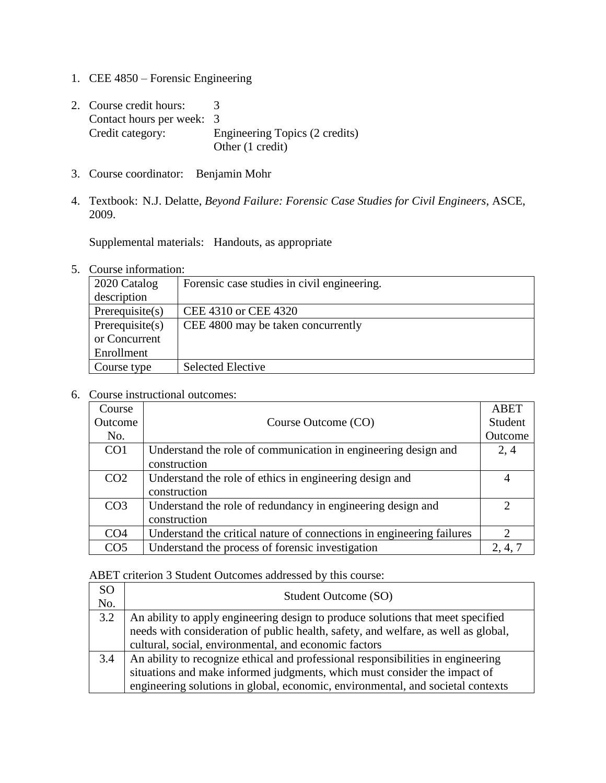- 1. CEE 4850 Forensic Engineering
- 2. Course credit hours: 3 Contact hours per week: 3 Credit category: Engineering Topics (2 credits) Other (1 credit)
- 3. Course coordinator: Benjamin Mohr
- 4. Textbook: N.J. Delatte, *Beyond Failure: Forensic Case Studies for Civil Engineers*, ASCE, 2009.

Supplemental materials: Handouts, as appropriate

## 5. Course information:

| 2020 Catalog       | Forensic case studies in civil engineering. |
|--------------------|---------------------------------------------|
| description        |                                             |
| Prerequisite(s)    | CEE 4310 or CEE 4320                        |
| Prerequisite $(s)$ | CEE 4800 may be taken concurrently          |
| or Concurrent      |                                             |
| Enrollment         |                                             |
| Course type        | <b>Selected Elective</b>                    |

## 6. Course instructional outcomes:

| Course          |                                                                       | <b>ABET</b> |
|-----------------|-----------------------------------------------------------------------|-------------|
| Outcome         | Course Outcome (CO)                                                   | Student     |
| No.             |                                                                       | Outcome     |
| CO <sub>1</sub> | Understand the role of communication in engineering design and        | 2, 4        |
|                 | construction                                                          |             |
| CO <sub>2</sub> | Understand the role of ethics in engineering design and               | 4           |
|                 | construction                                                          |             |
| CO <sub>3</sub> | Understand the role of redundancy in engineering design and           | ာ           |
|                 | construction                                                          |             |
| CO <sub>4</sub> | Understand the critical nature of connections in engineering failures | ∍           |
| CO <sub>5</sub> | Understand the process of forensic investigation                      | 2, 4, 7     |

ABET criterion 3 Student Outcomes addressed by this course:

| <sub>SO</sub><br>No. | Student Outcome (SO)                                                               |
|----------------------|------------------------------------------------------------------------------------|
| 3.2                  | An ability to apply engineering design to produce solutions that meet specified    |
|                      | needs with consideration of public health, safety, and welfare, as well as global, |
|                      | cultural, social, environmental, and economic factors                              |
| 3.4                  | An ability to recognize ethical and professional responsibilities in engineering   |
|                      | situations and make informed judgments, which must consider the impact of          |
|                      | engineering solutions in global, economic, environmental, and societal contexts    |